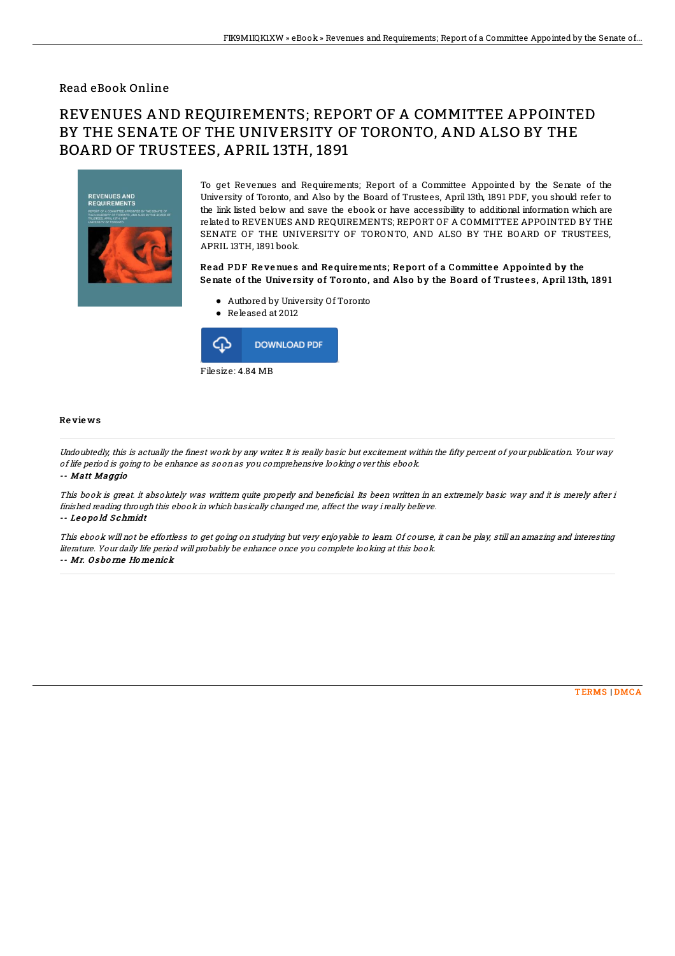### Read eBook Online

# REVENUES AND REQUIREMENTS; REPORT OF A COMMITTEE APPOINTED BY THE SENATE OF THE UNIVERSITY OF TORONTO, AND ALSO BY THE BOARD OF TRUSTEES, APRIL 13TH, 1891



To get Revenues and Requirements; Report of a Committee Appointed by the Senate of the University of Toronto, and Also by the Board of Trustees, April 13th, 1891 PDF, you should refer to the link listed below and save the ebook or have accessibility to additional information which are related to REVENUES AND REQUIREMENTS; REPORT OF A COMMITTEE APPOINTED BY THE SENATE OF THE UNIVERSITY OF TORONTO, AND ALSO BY THE BOARD OF TRUSTEES, APRIL 13TH, 1891 book.

#### Read PDF Revenues and Requirements; Report of a Committee Appointed by the Senate of the University of Toronto, and Also by the Board of Trustees, April 13th, 1891

- Authored by University Of Toronto
- Released at 2012



#### Re vie ws

Undoubtedly, this is actually the finest work by any writer. It is really basic but excitement within the fifty percent of your publication. Your way of life period is going to be enhance as soon as you comprehensive looking over this ebook.

-- Matt Maggio

This book is great. it absolutely was writtern quite properly and beneficial. Its been written in an extremely basic way and it is merely after i finished reading through this ebook in which basically changed me, affect the way i really believe. -- Le <sup>o</sup> po ld S chmidt

This ebook will not be effortless to get going on studying but very enjoyable to learn. Of course, it can be play, still an amazing and interesting literature. Your daily life period will probably be enhance once you complete looking at this book.

-- Mr. O s bo rne Ho menick